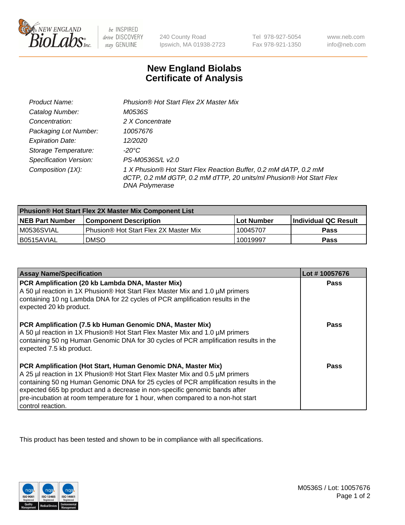

be INSPIRED drive DISCOVERY stay GENUINE

240 County Road Ipswich, MA 01938-2723

Tel 978-927-5054 Fax 978-921-1350

www.neb.com info@neb.com

## **New England Biolabs Certificate of Analysis**

| Product Name:                 | Phusion® Hot Start Flex 2X Master Mix                                                                                                                     |
|-------------------------------|-----------------------------------------------------------------------------------------------------------------------------------------------------------|
| Catalog Number:               | M0536S                                                                                                                                                    |
| Concentration:                | 2 X Concentrate                                                                                                                                           |
| Packaging Lot Number:         | 10057676                                                                                                                                                  |
| <b>Expiration Date:</b>       | 12/2020                                                                                                                                                   |
| Storage Temperature:          | -20°C                                                                                                                                                     |
| <b>Specification Version:</b> | PS-M0536S/L v2.0                                                                                                                                          |
| Composition (1X):             | 1 X Phusion® Hot Start Flex Reaction Buffer, 0.2 mM dATP, 0.2 mM<br>dCTP, 0.2 mM dGTP, 0.2 mM dTTP, 20 units/ml Phusion® Hot Start Flex<br>DNA Polymerase |

| <b>Phusion® Hot Start Flex 2X Master Mix Component List</b> |                                       |            |                             |  |
|-------------------------------------------------------------|---------------------------------------|------------|-----------------------------|--|
| <b>NEB Part Number</b>                                      | l Component Description               | Lot Number | <b>Individual QC Result</b> |  |
| M0536SVIAL                                                  | Phusion® Hot Start Flex 2X Master Mix | 10045707   | Pass                        |  |
| I B0515AVIAL                                                | <b>DMSO</b>                           | 10019997   | <b>Pass</b>                 |  |

| <b>Assay Name/Specification</b>                                                                                                                                                                                                                                                                                                                                                                                            | Lot #10057676 |
|----------------------------------------------------------------------------------------------------------------------------------------------------------------------------------------------------------------------------------------------------------------------------------------------------------------------------------------------------------------------------------------------------------------------------|---------------|
| PCR Amplification (20 kb Lambda DNA, Master Mix)<br>A 50 µl reaction in 1X Phusion® Hot Start Flex Master Mix and 1.0 µM primers<br>containing 10 ng Lambda DNA for 22 cycles of PCR amplification results in the<br>expected 20 kb product.                                                                                                                                                                               | <b>Pass</b>   |
| PCR Amplification (7.5 kb Human Genomic DNA, Master Mix)<br>A 50 µl reaction in 1X Phusion® Hot Start Flex Master Mix and 1.0 µM primers<br>containing 50 ng Human Genomic DNA for 30 cycles of PCR amplification results in the<br>expected 7.5 kb product.                                                                                                                                                               | <b>Pass</b>   |
| PCR Amplification (Hot Start, Human Genomic DNA, Master Mix)<br>A 25 µl reaction in 1X Phusion® Hot Start Flex Master Mix and 0.5 µM primers<br>containing 50 ng Human Genomic DNA for 25 cycles of PCR amplification results in the<br>expected 665 bp product and a decrease in non-specific genomic bands after<br>pre-incubation at room temperature for 1 hour, when compared to a non-hot start<br>control reaction. | Pass          |

This product has been tested and shown to be in compliance with all specifications.